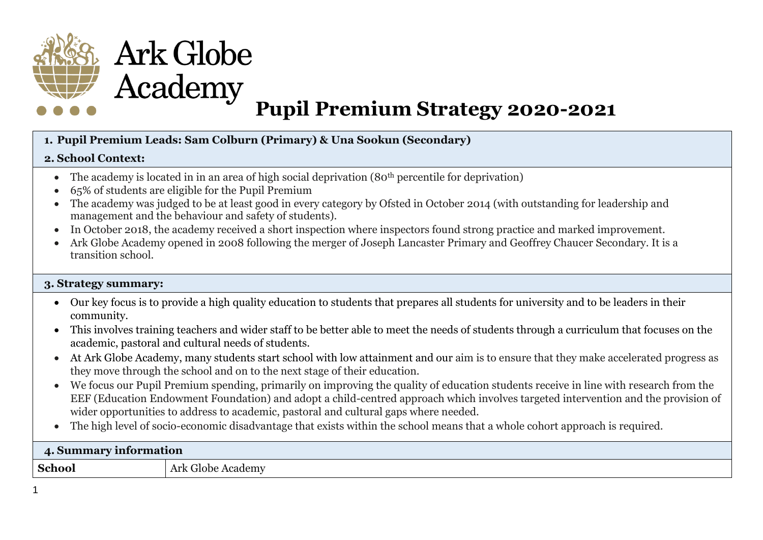

## **1. Pupil Premium Leads: Sam Colburn (Primary) & Una Sookun (Secondary)**

## **2. School Context:**

- The academy is located in in an area of high social deprivation  $(80<sup>th</sup>$  percentile for deprivation)
- 65% of students are eligible for the Pupil Premium
- The academy was judged to be at least good in every category by Ofsted in October 2014 (with outstanding for leadership and management and the behaviour and safety of students).
- In October 2018, the academy received a short inspection where inspectors found strong practice and marked improvement.
- Ark Globe Academy opened in 2008 following the merger of Joseph Lancaster Primary and Geoffrey Chaucer Secondary. It is a transition school.

## **3. Strategy summary:**

- Our key focus is to provide a high quality education to students that prepares all students for university and to be leaders in their community.
- This involves training teachers and wider staff to be better able to meet the needs of students through a curriculum that focuses on the academic, pastoral and cultural needs of students.
- At Ark Globe Academy, many students start school with low attainment and our aim is to ensure that they make accelerated progress as they move through the school and on to the next stage of their education.
- We focus our Pupil Premium spending, primarily on improving the quality of education students receive in line with research from the EEF (Education Endowment Foundation) and adopt a child-centred approach which involves targeted intervention and the provision of wider opportunities to address to academic, pastoral and cultural gaps where needed.
- The high level of socio-economic disadvantage that exists within the school means that a whole cohort approach is required.

| 4. Summary information |                           |  |  |
|------------------------|---------------------------|--|--|
| <b>School</b>          | Globe<br>Academy<br>Ark ' |  |  |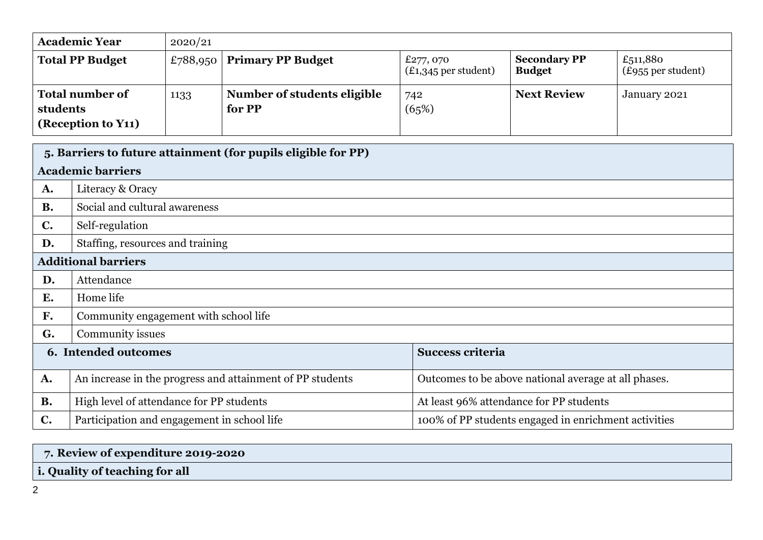| <b>Academic Year</b>                                     | 2020/21  |                                       |                                     |                                      |                                |  |  |
|----------------------------------------------------------|----------|---------------------------------------|-------------------------------------|--------------------------------------|--------------------------------|--|--|
| <b>Total PP Budget</b>                                   | £788,950 | <b>Primary PP Budget</b>              | £277, 070<br>$(E1,345$ per student) | <b>Secondary PP</b><br><b>Budget</b> | £511,880<br>(£955 per student) |  |  |
| <b>Total number of</b><br>students<br>(Reception to Y11) | 1133     | Number of students eligible<br>for PP | 742<br>(65%)                        | <b>Next Review</b>                   | January 2021                   |  |  |

|                | 5. Barriers to future attainment (for pupils eligible for PP) |                                                      |  |  |  |
|----------------|---------------------------------------------------------------|------------------------------------------------------|--|--|--|
|                | <b>Academic barriers</b>                                      |                                                      |  |  |  |
| A.             | Literacy & Oracy                                              |                                                      |  |  |  |
| <b>B.</b>      | Social and cultural awareness                                 |                                                      |  |  |  |
| $\mathbf{C}$ . | Self-regulation                                               |                                                      |  |  |  |
| D.             | Staffing, resources and training                              |                                                      |  |  |  |
|                | <b>Additional barriers</b>                                    |                                                      |  |  |  |
| D.             | Attendance                                                    |                                                      |  |  |  |
| E.             | Home life                                                     |                                                      |  |  |  |
| F.             | Community engagement with school life                         |                                                      |  |  |  |
| G.             | Community issues                                              |                                                      |  |  |  |
|                | 6. Intended outcomes                                          | <b>Success criteria</b>                              |  |  |  |
| A.             | An increase in the progress and attainment of PP students     | Outcomes to be above national average at all phases. |  |  |  |
| <b>B.</b>      | High level of attendance for PP students                      | At least 96% attendance for PP students              |  |  |  |
| $\mathbf{C}$ . | Participation and engagement in school life                   | 100% of PP students engaged in enrichment activities |  |  |  |

| 7. Review of expenditure 2019-2020 |  |
|------------------------------------|--|
| i. Quality of teaching for all     |  |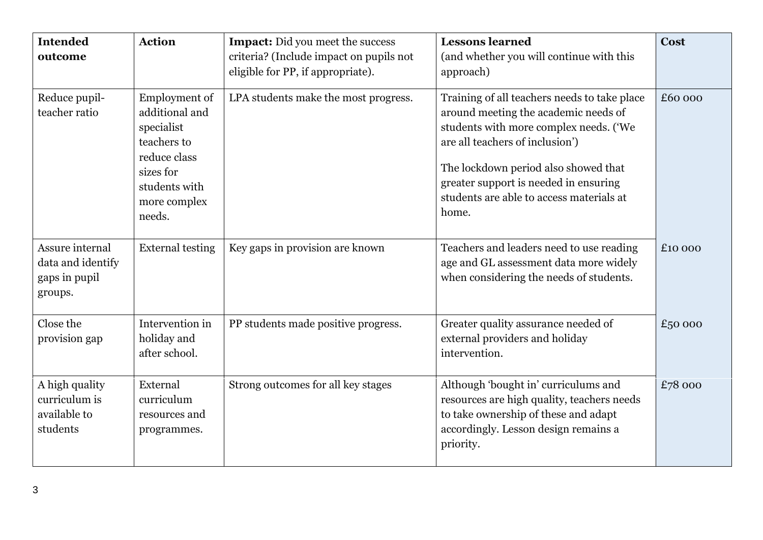| <b>Intended</b><br>outcome                                       | <b>Action</b>                                                                                                                               | <b>Impact:</b> Did you meet the success<br>criteria? (Include impact on pupils not<br>eligible for PP, if appropriate). | <b>Lessons learned</b><br>(and whether you will continue with this<br>approach)                                                                                                                                                                                                                         | <b>Cost</b> |
|------------------------------------------------------------------|---------------------------------------------------------------------------------------------------------------------------------------------|-------------------------------------------------------------------------------------------------------------------------|---------------------------------------------------------------------------------------------------------------------------------------------------------------------------------------------------------------------------------------------------------------------------------------------------------|-------------|
| Reduce pupil-<br>teacher ratio                                   | <b>Employment of</b><br>additional and<br>specialist<br>teachers to<br>reduce class<br>sizes for<br>students with<br>more complex<br>needs. | LPA students make the most progress.                                                                                    | Training of all teachers needs to take place<br>around meeting the academic needs of<br>students with more complex needs. ('We<br>are all teachers of inclusion')<br>The lockdown period also showed that<br>greater support is needed in ensuring<br>students are able to access materials at<br>home. | £60 000     |
| Assure internal<br>data and identify<br>gaps in pupil<br>groups. | <b>External testing</b>                                                                                                                     | Key gaps in provision are known                                                                                         | Teachers and leaders need to use reading<br>age and GL assessment data more widely<br>when considering the needs of students.                                                                                                                                                                           | £10 000     |
| Close the<br>provision gap                                       | Intervention in<br>holiday and<br>after school.                                                                                             | PP students made positive progress.                                                                                     | Greater quality assurance needed of<br>external providers and holiday<br>intervention.                                                                                                                                                                                                                  | £50 000     |
| A high quality<br>curriculum is<br>available to<br>students      | External<br>curriculum<br>resources and<br>programmes.                                                                                      | Strong outcomes for all key stages                                                                                      | Although 'bought in' curriculums and<br>resources are high quality, teachers needs<br>to take ownership of these and adapt<br>accordingly. Lesson design remains a<br>priority.                                                                                                                         | £78 000     |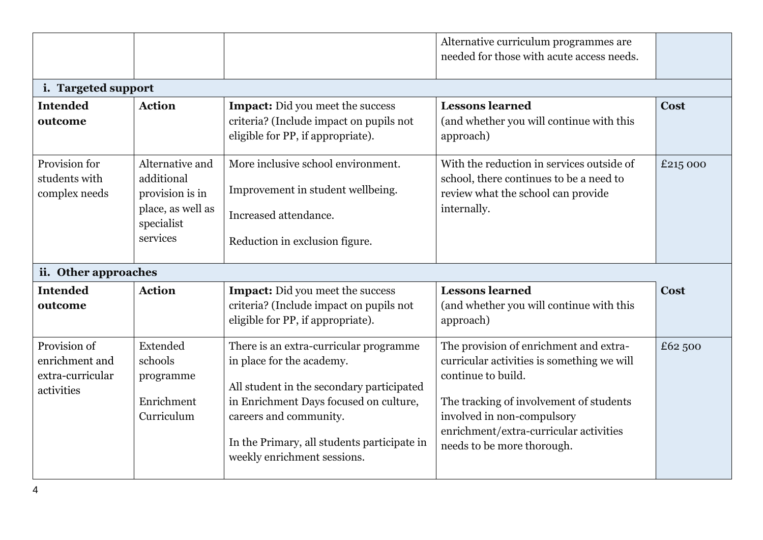|                                                                  |                                                                                                 |                                                                                                                                                                                                                                                                    | Alternative curriculum programmes are<br>needed for those with acute access needs.                                                                                                                                                                          |             |
|------------------------------------------------------------------|-------------------------------------------------------------------------------------------------|--------------------------------------------------------------------------------------------------------------------------------------------------------------------------------------------------------------------------------------------------------------------|-------------------------------------------------------------------------------------------------------------------------------------------------------------------------------------------------------------------------------------------------------------|-------------|
| i. Targeted support                                              |                                                                                                 |                                                                                                                                                                                                                                                                    |                                                                                                                                                                                                                                                             |             |
| <b>Intended</b><br>outcome                                       | <b>Action</b>                                                                                   | <b>Impact:</b> Did you meet the success<br>criteria? (Include impact on pupils not<br>eligible for PP, if appropriate).                                                                                                                                            | <b>Lessons learned</b><br>(and whether you will continue with this<br>approach)                                                                                                                                                                             | Cost        |
| Provision for<br>students with<br>complex needs                  | Alternative and<br>additional<br>provision is in<br>place, as well as<br>specialist<br>services | More inclusive school environment.<br>Improvement in student wellbeing.<br>Increased attendance.<br>Reduction in exclusion figure.                                                                                                                                 | With the reduction in services outside of<br>school, there continues to be a need to<br>review what the school can provide<br>internally.                                                                                                                   | £215 000    |
| ii. Other approaches                                             |                                                                                                 |                                                                                                                                                                                                                                                                    |                                                                                                                                                                                                                                                             |             |
| <b>Intended</b><br>outcome                                       | <b>Action</b>                                                                                   | <b>Impact:</b> Did you meet the success<br>criteria? (Include impact on pupils not<br>eligible for PP, if appropriate).                                                                                                                                            | <b>Lessons learned</b><br>(and whether you will continue with this<br>approach)                                                                                                                                                                             | <b>Cost</b> |
| Provision of<br>enrichment and<br>extra-curricular<br>activities | Extended<br>schools<br>programme<br>Enrichment<br>Curriculum                                    | There is an extra-curricular programme<br>in place for the academy.<br>All student in the secondary participated<br>in Enrichment Days focused on culture,<br>careers and community.<br>In the Primary, all students participate in<br>weekly enrichment sessions. | The provision of enrichment and extra-<br>curricular activities is something we will<br>continue to build.<br>The tracking of involvement of students<br>involved in non-compulsory<br>enrichment/extra-curricular activities<br>needs to be more thorough. | £62,500     |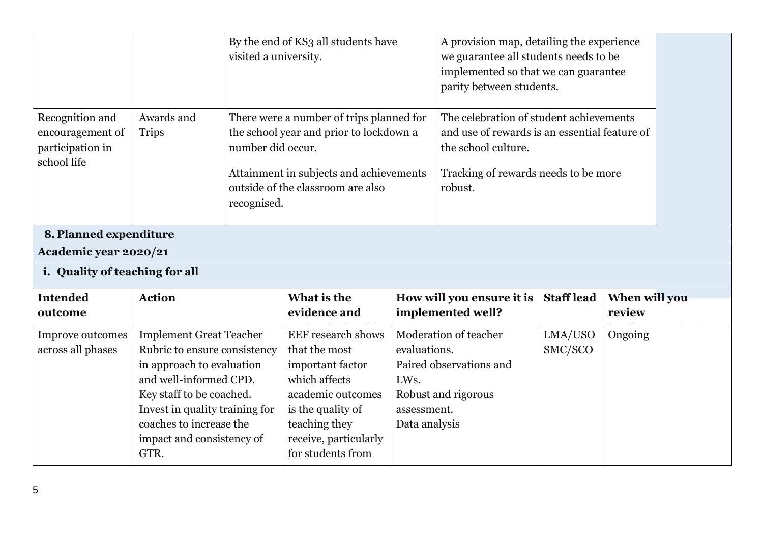|                                                                        |                                                                                                                                                                                                                                                     | visited a university.            | By the end of KS3 all students have                                                                                                                                                                                                                                                                                                       |                                                      | A provision map, detailing the experience<br>we guarantee all students needs to be<br>implemented so that we can guarantee<br>parity between students. |                    |                         |  |
|------------------------------------------------------------------------|-----------------------------------------------------------------------------------------------------------------------------------------------------------------------------------------------------------------------------------------------------|----------------------------------|-------------------------------------------------------------------------------------------------------------------------------------------------------------------------------------------------------------------------------------------------------------------------------------------------------------------------------------------|------------------------------------------------------|--------------------------------------------------------------------------------------------------------------------------------------------------------|--------------------|-------------------------|--|
| Recognition and<br>encouragement of<br>participation in<br>school life | Awards and<br><b>Trips</b>                                                                                                                                                                                                                          | number did occur.<br>recognised. | The celebration of student achievements<br>There were a number of trips planned for<br>the school year and prior to lockdown a<br>and use of rewards is an essential feature of<br>the school culture.<br>Tracking of rewards needs to be more<br>Attainment in subjects and achievements<br>outside of the classroom are also<br>robust. |                                                      |                                                                                                                                                        |                    |                         |  |
| 8. Planned expenditure                                                 |                                                                                                                                                                                                                                                     |                                  |                                                                                                                                                                                                                                                                                                                                           |                                                      |                                                                                                                                                        |                    |                         |  |
| Academic year 2020/21                                                  |                                                                                                                                                                                                                                                     |                                  |                                                                                                                                                                                                                                                                                                                                           |                                                      |                                                                                                                                                        |                    |                         |  |
| i. Quality of teaching for all                                         |                                                                                                                                                                                                                                                     |                                  |                                                                                                                                                                                                                                                                                                                                           |                                                      |                                                                                                                                                        |                    |                         |  |
| <b>Intended</b><br>outcome                                             | <b>Action</b>                                                                                                                                                                                                                                       |                                  | What is the<br>evidence and                                                                                                                                                                                                                                                                                                               |                                                      | How will you ensure it is<br>implemented well?                                                                                                         | <b>Staff lead</b>  | When will you<br>review |  |
| Improve outcomes<br>across all phases                                  | <b>Implement Great Teacher</b><br>Rubric to ensure consistency<br>in approach to evaluation<br>and well-informed CPD.<br>Key staff to be coached.<br>Invest in quality training for<br>coaches to increase the<br>impact and consistency of<br>GTR. |                                  | <b>EEF</b> research shows<br>that the most<br>important factor<br>which affects<br>academic outcomes<br>is the quality of<br>teaching they<br>receive, particularly<br>for students from                                                                                                                                                  | evaluations.<br>LWs.<br>assessment.<br>Data analysis | Moderation of teacher<br>Paired observations and<br>Robust and rigorous                                                                                | LMA/USO<br>SMC/SCO | Ongoing                 |  |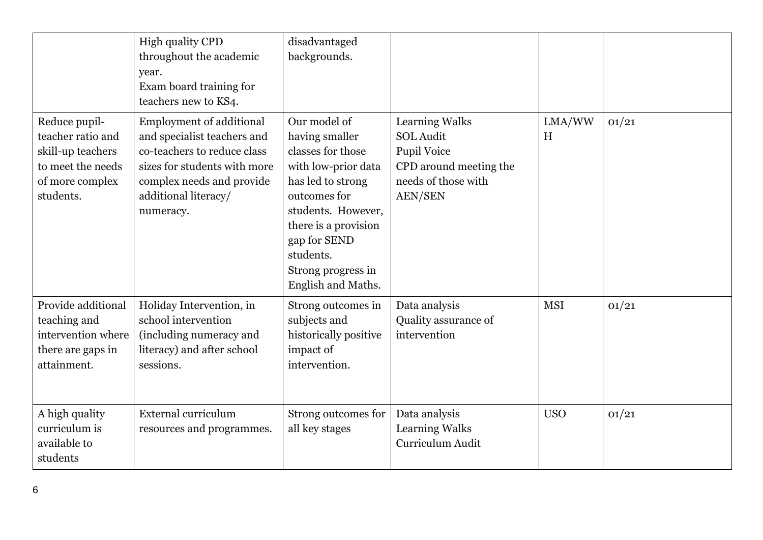|                                                                                                              | High quality CPD<br>throughout the academic<br>year.<br>Exam board training for<br>teachers new to KS4.                                                                                         | disadvantaged<br>backgrounds.                                                                                                                                                                                                          |                                                                                                                             |             |       |
|--------------------------------------------------------------------------------------------------------------|-------------------------------------------------------------------------------------------------------------------------------------------------------------------------------------------------|----------------------------------------------------------------------------------------------------------------------------------------------------------------------------------------------------------------------------------------|-----------------------------------------------------------------------------------------------------------------------------|-------------|-------|
| Reduce pupil-<br>teacher ratio and<br>skill-up teachers<br>to meet the needs<br>of more complex<br>students. | <b>Employment of additional</b><br>and specialist teachers and<br>co-teachers to reduce class<br>sizes for students with more<br>complex needs and provide<br>additional literacy/<br>numeracy. | Our model of<br>having smaller<br>classes for those<br>with low-prior data<br>has led to strong<br>outcomes for<br>students. However,<br>there is a provision<br>gap for SEND<br>students.<br>Strong progress in<br>English and Maths. | Learning Walks<br><b>SOL Audit</b><br><b>Pupil Voice</b><br>CPD around meeting the<br>needs of those with<br><b>AEN/SEN</b> | LMA/WW<br>H | 01/21 |
| Provide additional<br>teaching and<br>intervention where<br>there are gaps in<br>attainment.                 | Holiday Intervention, in<br>school intervention<br>(including numeracy and<br>literacy) and after school<br>sessions.                                                                           | Strong outcomes in<br>subjects and<br>historically positive<br>impact of<br>intervention.                                                                                                                                              | Data analysis<br>Quality assurance of<br>intervention                                                                       | <b>MSI</b>  | 01/21 |
| A high quality<br>curriculum is<br>available to<br>students                                                  | <b>External curriculum</b><br>resources and programmes.                                                                                                                                         | Strong outcomes for<br>all key stages                                                                                                                                                                                                  | Data analysis<br><b>Learning Walks</b><br>Curriculum Audit                                                                  | <b>USO</b>  | 01/21 |